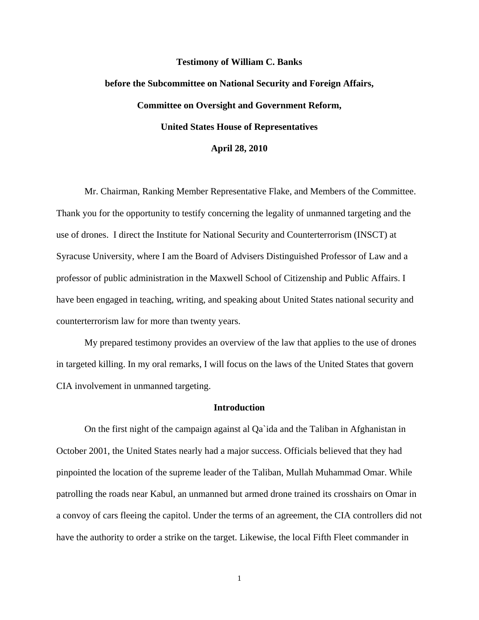#### **Testimony of William C. Banks**

# **before the Subcommittee on National Security and Foreign Affairs, Committee on Oversight and Government Reform, United States House of Representatives**

## **April 28, 2010**

 Mr. Chairman, Ranking Member Representative Flake, and Members of the Committee. Thank you for the opportunity to testify concerning the legality of unmanned targeting and the use of drones. I direct the Institute for National Security and Counterterrorism (INSCT) at Syracuse University, where I am the Board of Advisers Distinguished Professor of Law and a professor of public administration in the Maxwell School of Citizenship and Public Affairs. I have been engaged in teaching, writing, and speaking about United States national security and counterterrorism law for more than twenty years.

 My prepared testimony provides an overview of the law that applies to the use of drones in targeted killing. In my oral remarks, I will focus on the laws of the United States that govern CIA involvement in unmanned targeting.

### **Introduction**

On the first night of the campaign against al Qa`ida and the Taliban in Afghanistan in October 2001, the United States nearly had a major success. Officials believed that they had pinpointed the location of the supreme leader of the Taliban, Mullah Muhammad Omar. While patrolling the roads near Kabul, an unmanned but armed drone trained its crosshairs on Omar in a convoy of cars fleeing the capitol. Under the terms of an agreement, the CIA controllers did not have the authority to order a strike on the target. Likewise, the local Fifth Fleet commander in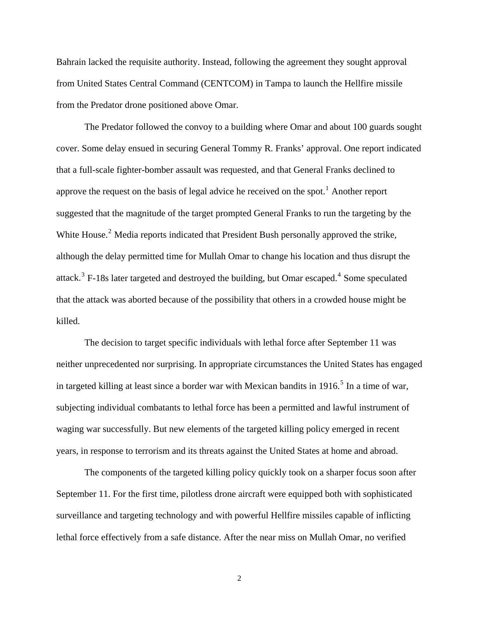Bahrain lacked the requisite authority. Instead, following the agreement they sought approval from United States Central Command (CENTCOM) in Tampa to launch the Hellfire missile from the Predator drone positioned above Omar.

The Predator followed the convoy to a building where Omar and about 100 guards sought cover. Some delay ensued in securing General Tommy R. Franks' approval. One report indicated that a full-scale fighter-bomber assault was requested, and that General Franks declined to approve the request on the basis of legal advice he received on the spot.<sup>[1](#page-10-0)</sup> Another report suggested that the magnitude of the target prompted General Franks to run the targeting by the White House.<sup>[2](#page-10-1)</sup> Media reports indicated that President Bush personally approved the strike, although the delay permitted time for Mullah Omar to change his location and thus disrupt the attack.<sup>[3](#page-10-1)</sup> F-18s later targeted and destroyed the building, but Omar escaped.<sup>[4](#page-10-1)</sup> Some speculated that the attack was aborted because of the possibility that others in a crowded house might be killed.

The decision to target specific individuals with lethal force after September 11 was neither unprecedented nor surprising. In appropriate circumstances the United States has engaged in targeted killing at least since a border war with Mexican bandits in  $1916$ <sup>[5](#page-10-1)</sup>. In a time of war, subjecting individual combatants to lethal force has been a permitted and lawful instrument of waging war successfully. But new elements of the targeted killing policy emerged in recent years, in response to terrorism and its threats against the United States at home and abroad.

The components of the targeted killing policy quickly took on a sharper focus soon after September 11. For the first time, pilotless drone aircraft were equipped both with sophisticated surveillance and targeting technology and with powerful Hellfire missiles capable of inflicting lethal force effectively from a safe distance. After the near miss on Mullah Omar, no verified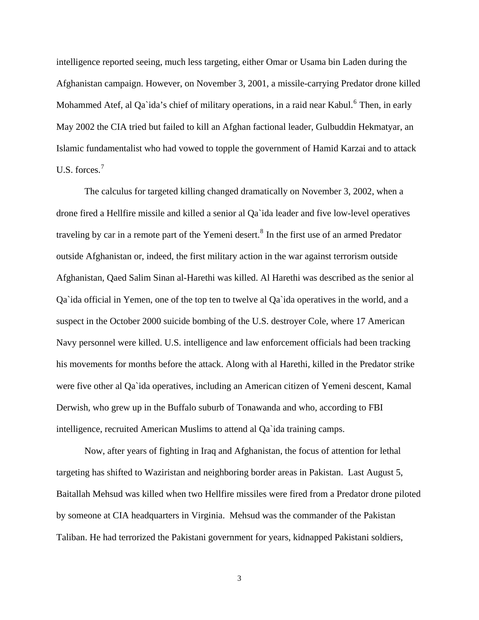intelligence reported seeing, much less targeting, either Omar or Usama bin Laden during the Afghanistan campaign. However, on November 3, 2001, a missile-carrying Predator drone killed Mohammed Atef, al Qa`ida's chief of military operations, in a raid near Kabul.<sup>[6](#page-10-1)</sup> Then, in early May 2002 the CIA tried but failed to kill an Afghan factional leader, Gulbuddin Hekmatyar, an Islamic fundamentalist who had vowed to topple the government of Hamid Karzai and to attack U.S. forces.<sup>[7](#page-10-1)</sup>

The calculus for targeted killing changed dramatically on November 3, 2002, when a drone fired a Hellfire missile and killed a senior al Qa`ida leader and five low-level operatives traveling by car in a remote part of the Yemeni desert.<sup>[8](#page-11-0)</sup> In the first use of an armed Predator outside Afghanistan or, indeed, the first military action in the war against terrorism outside Afghanistan, Qaed Salim Sinan al-Harethi was killed. Al Harethi was described as the senior al Qa`ida official in Yemen, one of the top ten to twelve al Qa`ida operatives in the world, and a suspect in the October 2000 suicide bombing of the U.S. destroyer Cole, where 17 American Navy personnel were killed. U.S. intelligence and law enforcement officials had been tracking his movements for months before the attack. Along with al Harethi, killed in the Predator strike were five other al Qa`ida operatives, including an American citizen of Yemeni descent, Kamal Derwish, who grew up in the Buffalo suburb of Tonawanda and who, according to FBI intelligence, recruited American Muslims to attend al Qa`ida training camps.

Now, after years of fighting in Iraq and Afghanistan, the focus of attention for lethal targeting has shifted to Waziristan and neighboring border areas in Pakistan. Last August 5, Baitallah Mehsud was killed when two Hellfire missiles were fired from a Predator drone piloted by someone at CIA headquarters in Virginia. Mehsud was the commander of the Pakistan Taliban. He had terrorized the Pakistani government for years, kidnapped Pakistani soldiers,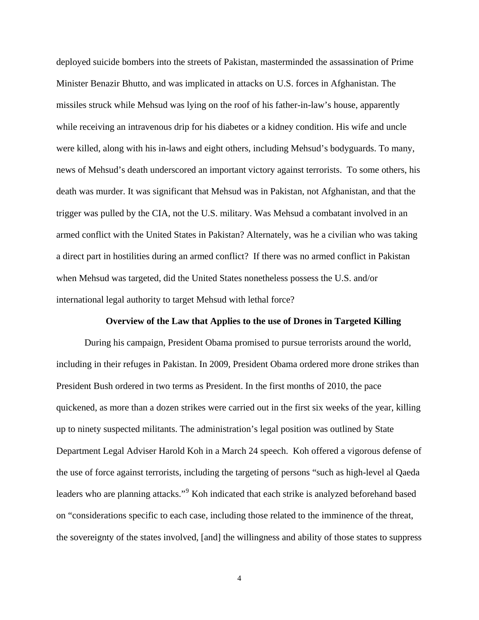deployed suicide bombers into the streets of Pakistan, masterminded the assassination of Prime Minister Benazir Bhutto, and was implicated in attacks on U.S. forces in Afghanistan. The missiles struck while Mehsud was lying on the roof of his father-in-law's house, apparently while receiving an intravenous drip for his diabetes or a kidney condition. His wife and uncle were killed, along with his in-laws and eight others, including Mehsud's bodyguards. To many, news of Mehsud's death underscored an important victory against terrorists. To some others, his death was murder. It was significant that Mehsud was in Pakistan, not Afghanistan, and that the trigger was pulled by the CIA, not the U.S. military. Was Mehsud a combatant involved in an armed conflict with the United States in Pakistan? Alternately, was he a civilian who was taking a direct part in hostilities during an armed conflict? If there was no armed conflict in Pakistan when Mehsud was targeted, did the United States nonetheless possess the U.S. and/or international legal authority to target Mehsud with lethal force?

### **Overview of the Law that Applies to the use of Drones in Targeted Killing**

During his campaign, President Obama promised to pursue terrorists around the world, including in their refuges in Pakistan. In 2009, President Obama ordered more drone strikes than President Bush ordered in two terms as President. In the first months of 2010, the pace quickened, as more than a dozen strikes were carried out in the first six weeks of the year, killing up to ninety suspected militants. The administration's legal position was outlined by State Department Legal Adviser Harold Koh in a March 24 speech. Koh offered a vigorous defense of the use of force against terrorists, including the targeting of persons "such as high-level al Qaeda leaders who are planning attacks."<sup>[9](#page-11-0)</sup> Koh indicated that each strike is analyzed beforehand based on "considerations specific to each case, including those related to the imminence of the threat, the sovereignty of the states involved, [and] the willingness and ability of those states to suppress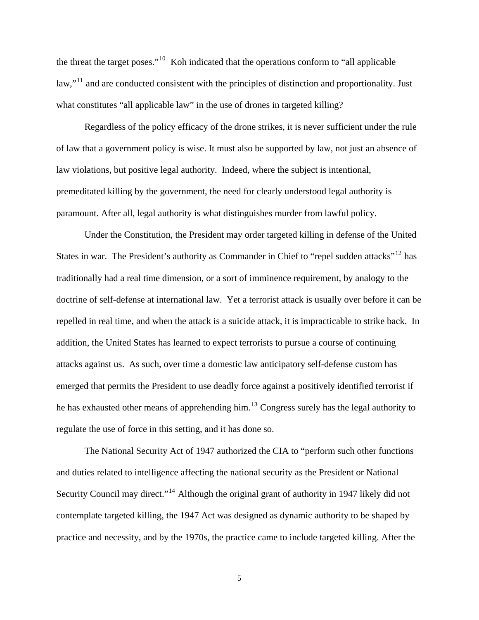the threat the target poses."[10](#page-11-0) Koh indicated that the operations conform to "all applicable law,"<sup>[11](#page-11-0)</sup> and are conducted consistent with the principles of distinction and proportionality. Just what constitutes "all applicable law" in the use of drones in targeted killing?

Regardless of the policy efficacy of the drone strikes, it is never sufficient under the rule of law that a government policy is wise. It must also be supported by law, not just an absence of law violations, but positive legal authority. Indeed, where the subject is intentional, premeditated killing by the government, the need for clearly understood legal authority is paramount. After all, legal authority is what distinguishes murder from lawful policy.

Under the Constitution, the President may order targeted killing in defense of the United States in war. The President's authority as Commander in Chief to "repel sudden attacks"<sup>[12](#page-11-0)</sup> has traditionally had a real time dimension, or a sort of imminence requirement, by analogy to the doctrine of self-defense at international law. Yet a terrorist attack is usually over before it can be repelled in real time, and when the attack is a suicide attack, it is impracticable to strike back. In addition, the United States has learned to expect terrorists to pursue a course of continuing attacks against us. As such, over time a domestic law anticipatory self-defense custom has emerged that permits the President to use deadly force against a positively identified terrorist if he has exhausted other means of apprehending him.<sup>[13](#page-11-0)</sup> Congress surely has the legal authority to regulate the use of force in this setting, and it has done so.

The National Security Act of 1947 authorized the CIA to "perform such other functions and duties related to intelligence affecting the national security as the President or National Security Council may direct."<sup>[14](#page-11-0)</sup> Although the original grant of authority in 1947 likely did not contemplate targeted killing, the 1947 Act was designed as dynamic authority to be shaped by practice and necessity, and by the 1970s, the practice came to include targeted killing. After the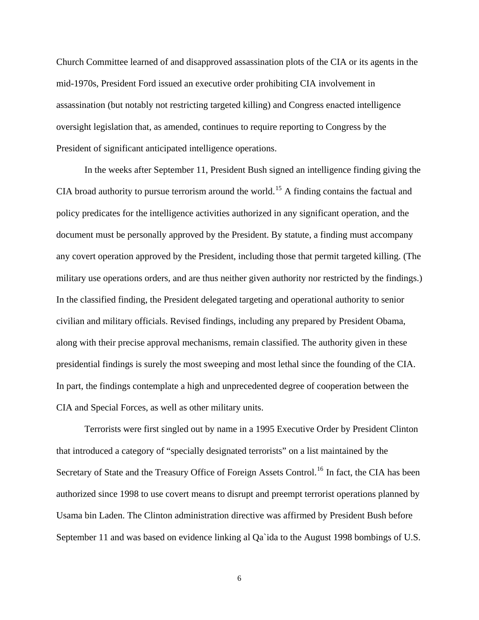Church Committee learned of and disapproved assassination plots of the CIA or its agents in the mid-1970s, President Ford issued an executive order prohibiting CIA involvement in assassination (but notably not restricting targeted killing) and Congress enacted intelligence oversight legislation that, as amended, continues to require reporting to Congress by the President of significant anticipated intelligence operations.

In the weeks after September 11, President Bush signed an intelligence finding giving the CIA broad authority to pursue terrorism around the world.<sup>[15](#page-11-0)</sup> A finding contains the factual and policy predicates for the intelligence activities authorized in any significant operation, and the document must be personally approved by the President. By statute, a finding must accompany any covert operation approved by the President, including those that permit targeted killing. (The military use operations orders, and are thus neither given authority nor restricted by the findings.) In the classified finding, the President delegated targeting and operational authority to senior civilian and military officials. Revised findings, including any prepared by President Obama, along with their precise approval mechanisms, remain classified. The authority given in these presidential findings is surely the most sweeping and most lethal since the founding of the CIA. In part, the findings contemplate a high and unprecedented degree of cooperation between the CIA and Special Forces, as well as other military units.

Terrorists were first singled out by name in a 1995 Executive Order by President Clinton that introduced a category of "specially designated terrorists" on a list maintained by the Secretary of State and the Treasury Office of Foreign Assets Control.<sup>[16](#page-11-0)</sup> In fact, the CIA has been authorized since 1998 to use covert means to disrupt and preempt terrorist operations planned by Usama bin Laden. The Clinton administration directive was affirmed by President Bush before September 11 and was based on evidence linking al Qa`ida to the August 1998 bombings of U.S.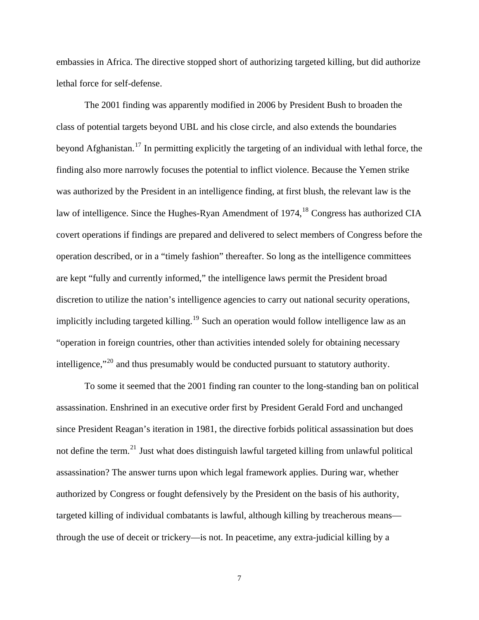embassies in Africa. The directive stopped short of authorizing targeted killing, but did authorize lethal force for self-defense.

The 2001 finding was apparently modified in 2006 by President Bush to broaden the class of potential targets beyond UBL and his close circle, and also extends the boundaries beyond Afghanistan.<sup>[17](#page-11-0)</sup> In permitting explicitly the targeting of an individual with lethal force, the finding also more narrowly focuses the potential to inflict violence. Because the Yemen strike was authorized by the President in an intelligence finding, at first blush, the relevant law is the law of intelligence. Since the Hughes-Ryan Amendment of  $1974$ , <sup>[18](#page-11-0)</sup> Congress has authorized CIA covert operations if findings are prepared and delivered to select members of Congress before the operation described, or in a "timely fashion" thereafter. So long as the intelligence committees are kept "fully and currently informed," the intelligence laws permit the President broad discretion to utilize the nation's intelligence agencies to carry out national security operations, implicitly including targeted killing.<sup>[19](#page-11-0)</sup> Such an operation would follow intelligence law as an "operation in foreign countries, other than activities intended solely for obtaining necessary intelligence,"[20](#page-11-0) and thus presumably would be conducted pursuant to statutory authority.

To some it seemed that the 2001 finding ran counter to the long-standing ban on political assassination. Enshrined in an executive order first by President Gerald Ford and unchanged since President Reagan's iteration in 1981, the directive forbids political assassination but does not define the term.<sup>[21](#page-11-0)</sup> Just what does distinguish lawful targeted killing from unlawful political assassination? The answer turns upon which legal framework applies. During war, whether authorized by Congress or fought defensively by the President on the basis of his authority, targeted killing of individual combatants is lawful, although killing by treacherous means through the use of deceit or trickery—is not. In peacetime, any extra-judicial killing by a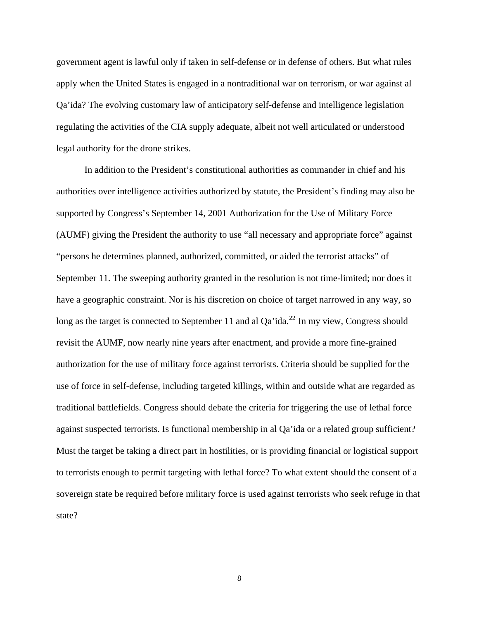government agent is lawful only if taken in self-defense or in defense of others. But what rules apply when the United States is engaged in a nontraditional war on terrorism, or war against al Qa'ida? The evolving customary law of anticipatory self-defense and intelligence legislation regulating the activities of the CIA supply adequate, albeit not well articulated or understood legal authority for the drone strikes.

In addition to the President's constitutional authorities as commander in chief and his authorities over intelligence activities authorized by statute, the President's finding may also be supported by Congress's September 14, 2001 Authorization for the Use of Military Force (AUMF) giving the President the authority to use "all necessary and appropriate force" against "persons he determines planned, authorized, committed, or aided the terrorist attacks" of September 11. The sweeping authority granted in the resolution is not time-limited; nor does it have a geographic constraint. Nor is his discretion on choice of target narrowed in any way, so long as the target is connected to September 11 and al Qa'ida.<sup>[22](#page-11-0)</sup> In my view, Congress should revisit the AUMF, now nearly nine years after enactment, and provide a more fine-grained authorization for the use of military force against terrorists. Criteria should be supplied for the use of force in self-defense, including targeted killings, within and outside what are regarded as traditional battlefields. Congress should debate the criteria for triggering the use of lethal force against suspected terrorists. Is functional membership in al Qa'ida or a related group sufficient? Must the target be taking a direct part in hostilities, or is providing financial or logistical support to terrorists enough to permit targeting with lethal force? To what extent should the consent of a sovereign state be required before military force is used against terrorists who seek refuge in that state?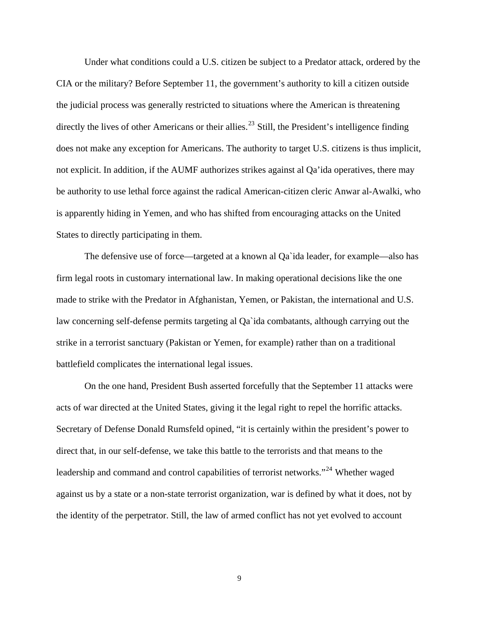Under what conditions could a U.S. citizen be subject to a Predator attack, ordered by the CIA or the military? Before September 11, the government's authority to kill a citizen outside the judicial process was generally restricted to situations where the American is threatening directly the lives of other Americans or their allies.<sup>[23](#page-12-0)</sup> Still, the President's intelligence finding does not make any exception for Americans. The authority to target U.S. citizens is thus implicit, not explicit. In addition, if the AUMF authorizes strikes against al Qa'ida operatives, there may be authority to use lethal force against the radical American-citizen cleric Anwar al-Awalki, who is apparently hiding in Yemen, and who has shifted from encouraging attacks on the United States to directly participating in them.

The defensive use of force—targeted at a known al Qa`ida leader, for example—also has firm legal roots in customary international law. In making operational decisions like the one made to strike with the Predator in Afghanistan, Yemen, or Pakistan, the international and U.S. law concerning self-defense permits targeting al Qa`ida combatants, although carrying out the strike in a terrorist sanctuary (Pakistan or Yemen, for example) rather than on a traditional battlefield complicates the international legal issues.

On the one hand, President Bush asserted forcefully that the September 11 attacks were acts of war directed at the United States, giving it the legal right to repel the horrific attacks. Secretary of Defense Donald Rumsfeld opined, "it is certainly within the president's power to direct that, in our self-defense, we take this battle to the terrorists and that means to the leadership and command and control capabilities of terrorist networks."<sup>[24](#page-12-0)</sup> Whether waged against us by a state or a non-state terrorist organization, war is defined by what it does, not by the identity of the perpetrator. Still, the law of armed conflict has not yet evolved to account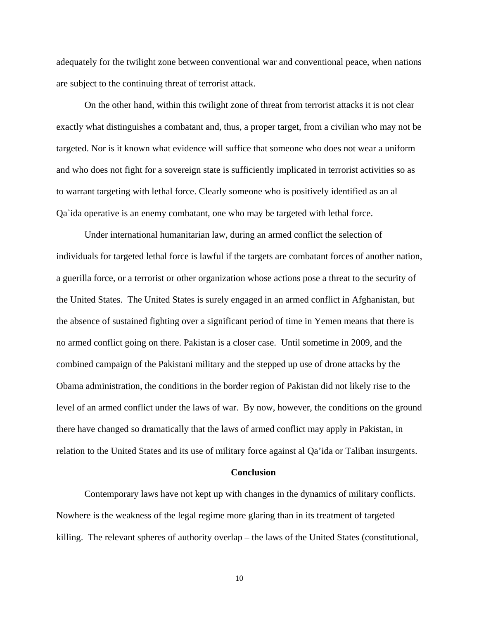adequately for the twilight zone between conventional war and conventional peace, when nations are subject to the continuing threat of terrorist attack.

On the other hand, within this twilight zone of threat from terrorist attacks it is not clear exactly what distinguishes a combatant and, thus, a proper target, from a civilian who may not be targeted. Nor is it known what evidence will suffice that someone who does not wear a uniform and who does not fight for a sovereign state is sufficiently implicated in terrorist activities so as to warrant targeting with lethal force. Clearly someone who is positively identified as an al Qa`ida operative is an enemy combatant, one who may be targeted with lethal force.

Under international humanitarian law, during an armed conflict the selection of individuals for targeted lethal force is lawful if the targets are combatant forces of another nation, a guerilla force, or a terrorist or other organization whose actions pose a threat to the security of the United States. The United States is surely engaged in an armed conflict in Afghanistan, but the absence of sustained fighting over a significant period of time in Yemen means that there is no armed conflict going on there. Pakistan is a closer case. Until sometime in 2009, and the combined campaign of the Pakistani military and the stepped up use of drone attacks by the Obama administration, the conditions in the border region of Pakistan did not likely rise to the level of an armed conflict under the laws of war. By now, however, the conditions on the ground there have changed so dramatically that the laws of armed conflict may apply in Pakistan, in relation to the United States and its use of military force against al Qa'ida or Taliban insurgents.

#### **Conclusion**

Contemporary laws have not kept up with changes in the dynamics of military conflicts. Nowhere is the weakness of the legal regime more glaring than in its treatment of targeted killing. The relevant spheres of authority overlap – the laws of the United States (constitutional,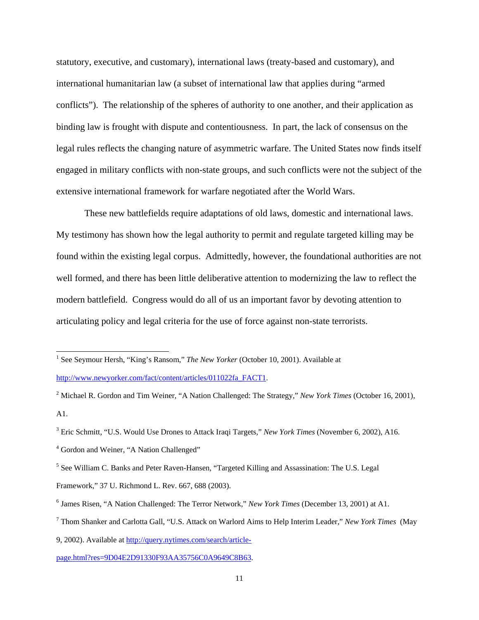<span id="page-10-1"></span>statutory, executive, and customary), international laws (treaty-based and customary), and international humanitarian law (a subset of international law that applies during "armed conflicts"). The relationship of the spheres of authority to one another, and their application as binding law is frought with dispute and contentiousness. In part, the lack of consensus on the legal rules reflects the changing nature of asymmetric warfare. The United States now finds itself engaged in military conflicts with non-state groups, and such conflicts were not the subject of the extensive international framework for warfare negotiated after the World Wars.

These new battlefields require adaptations of old laws, domestic and international laws. My testimony has shown how the legal authority to permit and regulate targeted killing may be found within the existing legal corpus. Admittedly, however, the foundational authorities are not well formed, and there has been little deliberative attention to modernizing the law to reflect the modern battlefield. Congress would do all of us an important favor by devoting attention to articulating policy and legal criteria for the use of force against non-state terrorists.

 $\overline{a}$ 

<span id="page-10-0"></span><sup>&</sup>lt;sup>1</sup> See Seymour Hersh, "King's Ransom," *The New Yorker* (October 10, 2001). Available at [http://www.newyorker.com/fact/content/articles/011022fa\\_FACT1](http://www.newyorker.com/fact/content/articles/011022fa_FACT1).

<sup>2</sup> Michael R. Gordon and Tim Weiner, "A Nation Challenged: The Strategy," *New York Times* (October 16, 2001), A1.

<sup>3</sup> Eric Schmitt, "U.S. Would Use Drones to Attack Iraqi Targets," *New York Times* (November 6, 2002), A16.

<sup>&</sup>lt;sup>4</sup> Gordon and Weiner, "A Nation Challenged"

<sup>&</sup>lt;sup>5</sup> See William C. Banks and Peter Raven-Hansen, "Targeted Killing and Assassination: The U.S. Legal

Framework," 37 U. Richmond L. Rev. 667, 688 (2003).

<sup>6</sup> James Risen, "A Nation Challenged: The Terror Network," *New York Times* (December 13, 2001) at A1.

<sup>7</sup> Thom Shanker and Carlotta Gall, "U.S. Attack on Warlord Aims to Help Interim Leader," *New York Times* (May

<sup>9, 2002).</sup> Available at [http://query.nytimes.com/search/article-](http://query.nytimes.com/search/article-page.html?res=9D04E2D91330F93AA35756C0A9649C8B63)

[page.html?res=9D04E2D91330F93AA35756C0A9649C8B63](http://query.nytimes.com/search/article-page.html?res=9D04E2D91330F93AA35756C0A9649C8B63).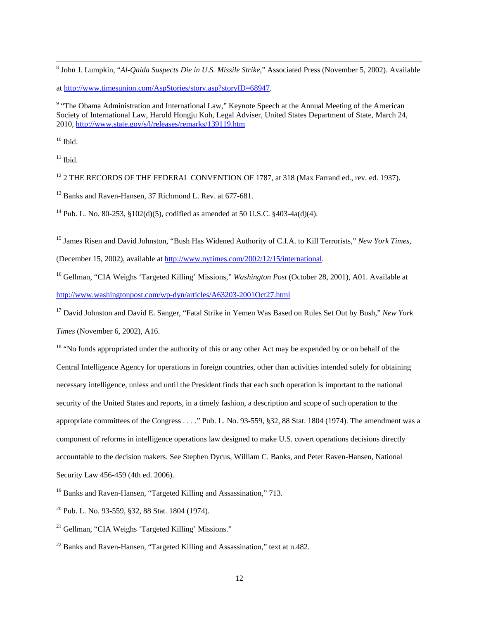8 John J. Lumpkin, "*Al-Qaida Suspects Die in U.S. Missile Strike*," Associated Press (November 5, 2002). Available

at [http://www.timesunion.com/AspStories/story.asp?storyID=68947.](http://www.timesunion.com/AspStories/story.asp?storyID=68947)

<sup>9</sup> "The Obama Administration and International Law," Keynote Speech at the Annual Meeting of the American Society of International Law, Harold Hongju Koh, Legal Adviser, United States Department of State, March 24, 2010,<http://www.state.gov/s/l/releases/remarks/139119.htm>

 $10$  Ibid.

<span id="page-11-0"></span> $\overline{a}$ 

 $11$  Ibid.

 $12$  2 THE RECORDS OF THE FEDERAL CONVENTION OF 1787, at 318 (Max Farrand ed., rev. ed. 1937).

<sup>13</sup> Banks and Raven-Hansen, 37 Richmond L. Rev. at 677-681.

<sup>14</sup> Pub. L. No. 80-253, §102(d)(5), codified as amended at 50 U.S.C. §403-4a(d)(4).

15 James Risen and David Johnston, "Bush Has Widened Authority of C.I.A. to Kill Terrorists," *New York Times*,

(December 15, 2002), available at [http://www.nytimes.com/2002/12/15/international.](http://www.nytimes.com/2002/12/15/international)

16 Gellman, "CIA Weighs 'Targeted Killing' Missions," *Washington Post* (October 28, 2001), A01. Available at <http://www.washingtonpost.com/wp-dyn/articles/A63203-2001Oct27.html>

17 David Johnston and David E. Sanger, "Fatal Strike in Yemen Was Based on Rules Set Out by Bush," *New York Times* (November 6, 2002), A16.

<sup>18</sup> "No funds appropriated under the authority of this or any other Act may be expended by or on behalf of the Central Intelligence Agency for operations in foreign countries, other than activities intended solely for obtaining necessary intelligence, unless and until the President finds that each such operation is important to the national security of the United States and reports, in a timely fashion, a description and scope of such operation to the appropriate committees of the Congress . . . ." Pub. L. No. 93-559, §32, 88 Stat. 1804 (1974). The amendment was a component of reforms in intelligence operations law designed to make U.S. covert operations decisions directly accountable to the decision makers. See Stephen Dycus, William C. Banks, and Peter Raven-Hansen, National Security Law 456-459 (4th ed. 2006).

<sup>19</sup> Banks and Raven-Hansen, "Targeted Killing and Assassination," 713.

20 Pub. L. No. 93-559, §32, 88 Stat. 1804 (1974).

21 Gellman, "CIA Weighs 'Targeted Killing' Missions."

 $22$  Banks and Raven-Hansen, "Targeted Killing and Assassination," text at n.482.